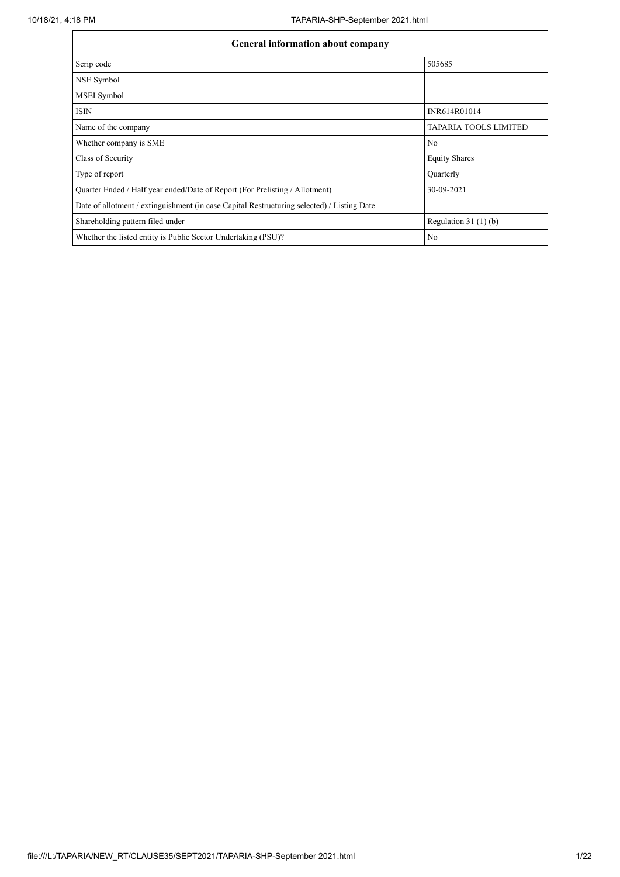| <b>General information about company</b>                                                   |                              |  |  |  |  |  |  |  |  |  |
|--------------------------------------------------------------------------------------------|------------------------------|--|--|--|--|--|--|--|--|--|
| Scrip code                                                                                 | 505685                       |  |  |  |  |  |  |  |  |  |
| NSE Symbol                                                                                 |                              |  |  |  |  |  |  |  |  |  |
| MSEI Symbol                                                                                |                              |  |  |  |  |  |  |  |  |  |
| <b>ISIN</b>                                                                                | INR614R01014                 |  |  |  |  |  |  |  |  |  |
| Name of the company                                                                        | <b>TAPARIA TOOLS LIMITED</b> |  |  |  |  |  |  |  |  |  |
| Whether company is SME                                                                     | N <sub>0</sub>               |  |  |  |  |  |  |  |  |  |
| Class of Security                                                                          | <b>Equity Shares</b>         |  |  |  |  |  |  |  |  |  |
| Type of report                                                                             | Quarterly                    |  |  |  |  |  |  |  |  |  |
| Quarter Ended / Half year ended/Date of Report (For Prelisting / Allotment)                | 30-09-2021                   |  |  |  |  |  |  |  |  |  |
| Date of allotment / extinguishment (in case Capital Restructuring selected) / Listing Date |                              |  |  |  |  |  |  |  |  |  |
| Shareholding pattern filed under                                                           | Regulation $31(1)(b)$        |  |  |  |  |  |  |  |  |  |
| Whether the listed entity is Public Sector Undertaking (PSU)?                              | N <sub>o</sub>               |  |  |  |  |  |  |  |  |  |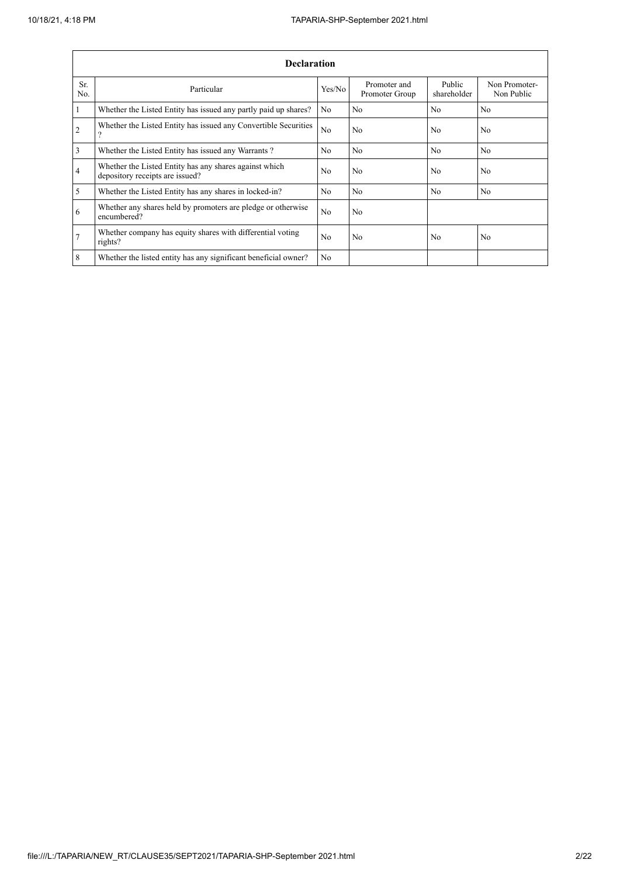ł.

|                | <b>Declaration</b>                                                                        |                |                                |                       |                             |  |  |  |  |  |  |  |  |
|----------------|-------------------------------------------------------------------------------------------|----------------|--------------------------------|-----------------------|-----------------------------|--|--|--|--|--|--|--|--|
| Sr.<br>No.     | Particular                                                                                | Yes/No         | Promoter and<br>Promoter Group | Public<br>shareholder | Non Promoter-<br>Non Public |  |  |  |  |  |  |  |  |
| $\mathbf{1}$   | Whether the Listed Entity has issued any partly paid up shares?                           | No             | No                             | N <sub>0</sub>        | N <sub>0</sub>              |  |  |  |  |  |  |  |  |
| 2              | Whether the Listed Entity has issued any Convertible Securities<br>$\mathcal{P}$          | N <sub>o</sub> | No                             | N <sub>o</sub>        | N <sub>o</sub>              |  |  |  |  |  |  |  |  |
| $\overline{3}$ | Whether the Listed Entity has issued any Warrants?                                        | N <sub>o</sub> | No                             | N <sub>o</sub>        | No.                         |  |  |  |  |  |  |  |  |
| $\overline{4}$ | Whether the Listed Entity has any shares against which<br>depository receipts are issued? | N <sub>o</sub> | No                             | N <sub>o</sub>        | No                          |  |  |  |  |  |  |  |  |
| 5              | Whether the Listed Entity has any shares in locked-in?                                    | N <sub>0</sub> | No                             | N <sub>o</sub>        | N <sub>o</sub>              |  |  |  |  |  |  |  |  |
| 6              | Whether any shares held by promoters are pledge or otherwise<br>encumbered?               | N <sub>o</sub> | No                             |                       |                             |  |  |  |  |  |  |  |  |
| $\overline{7}$ | Whether company has equity shares with differential voting<br>rights?                     | N <sub>0</sub> | N <sub>0</sub>                 | N <sub>0</sub>        | N <sub>0</sub>              |  |  |  |  |  |  |  |  |
| 8              | Whether the listed entity has any significant beneficial owner?                           | N <sub>o</sub> |                                |                       |                             |  |  |  |  |  |  |  |  |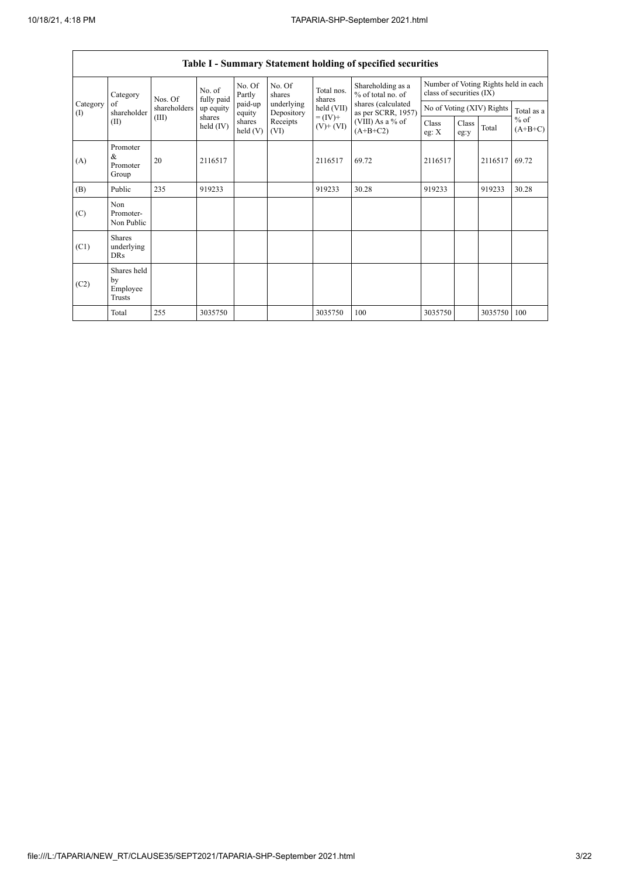$\Gamma$ 

|                 |                                           |              |                      |                      |                          |                              | Table I - Summary Statement holding of specified securities |                |                                                                  |         |                     |  |
|-----------------|-------------------------------------------|--------------|----------------------|----------------------|--------------------------|------------------------------|-------------------------------------------------------------|----------------|------------------------------------------------------------------|---------|---------------------|--|
|                 | Category                                  | Nos. Of      | No. of<br>fully paid | No. Of<br>Partly     | No. Of<br>shares         | Total nos.<br>shares         | Shareholding as a<br>% of total no. of                      |                | Number of Voting Rights held in each<br>class of securities (IX) |         |                     |  |
| Category<br>(1) | of<br>shareholder                         | shareholders | up equity            | paid-up<br>equity    | underlying<br>Depository | held (VII)                   | shares (calculated<br>as per SCRR, 1957)                    |                | No of Voting (XIV) Rights                                        |         |                     |  |
|                 | (II)                                      | (III)        | shares<br>held (IV)  | shares<br>held $(V)$ | Receipts<br>(VI)         | $= (IV) +$<br>$(V)$ + $(VI)$ | $(VIII)$ As a % of<br>$(A+B+C2)$                            | Class<br>eg: X | Class<br>eg:y                                                    | Total   | $%$ of<br>$(A+B+C)$ |  |
| (A)             | Promoter<br>&<br>Promoter<br>Group        | 20           | 2116517              |                      |                          | 2116517                      | 69.72                                                       | 2116517        |                                                                  | 2116517 | 69.72               |  |
| (B)             | Public                                    | 235          | 919233               |                      |                          | 919233                       | 30.28                                                       | 919233         |                                                                  | 919233  | 30.28               |  |
| (C)             | Non<br>Promoter-<br>Non Public            |              |                      |                      |                          |                              |                                                             |                |                                                                  |         |                     |  |
| (C1)            | <b>Shares</b><br>underlying<br><b>DRs</b> |              |                      |                      |                          |                              |                                                             |                |                                                                  |         |                     |  |
| (C2)            | Shares held<br>by<br>Employee<br>Trusts   |              |                      |                      |                          |                              |                                                             |                |                                                                  |         |                     |  |
|                 | Total                                     | 255          | 3035750              |                      |                          | 3035750                      | 100                                                         | 3035750        |                                                                  | 3035750 | 100                 |  |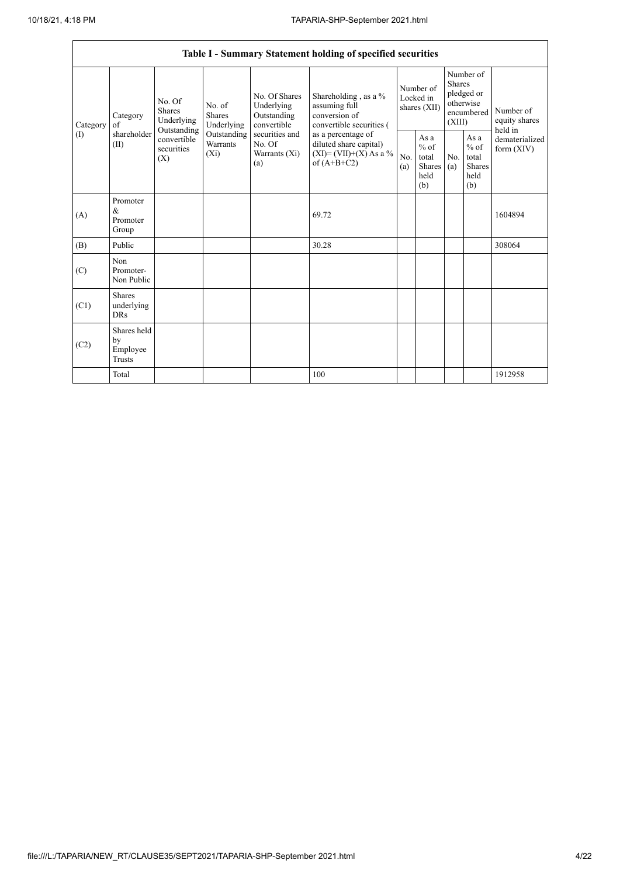|                          |                                           |                                               |                                       |                                                                                                               | Table I - Summary Statement holding of specified securities                                                                                                                      |                                        |                                                         |                                                                               |                                                         |                                       |
|--------------------------|-------------------------------------------|-----------------------------------------------|---------------------------------------|---------------------------------------------------------------------------------------------------------------|----------------------------------------------------------------------------------------------------------------------------------------------------------------------------------|----------------------------------------|---------------------------------------------------------|-------------------------------------------------------------------------------|---------------------------------------------------------|---------------------------------------|
| Category<br>$($ $\Gamma$ | Category<br>of<br>shareholder<br>(II)     | No. Of<br>Shares<br>Underlying<br>Outstanding | No. of<br><b>Shares</b><br>Underlying | No. Of Shares<br>Underlying<br>Outstanding<br>convertible<br>securities and<br>No. Of<br>Warrants (Xi)<br>(a) | Shareholding, as a %<br>assuming full<br>conversion of<br>convertible securities (<br>as a percentage of<br>diluted share capital)<br>$(XI) = (VII)+(X) As a %$<br>of $(A+B+C2)$ | Number of<br>Locked in<br>shares (XII) |                                                         | Number of<br><b>Shares</b><br>pledged or<br>otherwise<br>encumbered<br>(XIII) |                                                         | Number of<br>equity shares<br>held in |
|                          |                                           | convertible<br>securities<br>$(X_i)$<br>(X)   | Outstanding<br>Warrants               |                                                                                                               |                                                                                                                                                                                  | No.<br>(a)                             | As a<br>$%$ of<br>total<br><b>Shares</b><br>held<br>(b) | N <sub>0</sub><br>(a)                                                         | As a<br>$%$ of<br>total<br><b>Shares</b><br>held<br>(b) | dematerialized<br>form $(XIV)$        |
| (A)                      | Promoter<br>$\&$<br>Promoter<br>Group     |                                               |                                       |                                                                                                               | 69.72                                                                                                                                                                            |                                        |                                                         |                                                                               |                                                         | 1604894                               |
| (B)                      | Public                                    |                                               |                                       |                                                                                                               | 30.28                                                                                                                                                                            |                                        |                                                         |                                                                               |                                                         | 308064                                |
| (C)                      | Non<br>Promoter-<br>Non Public            |                                               |                                       |                                                                                                               |                                                                                                                                                                                  |                                        |                                                         |                                                                               |                                                         |                                       |
| (C1)                     | <b>Shares</b><br>underlying<br><b>DRs</b> |                                               |                                       |                                                                                                               |                                                                                                                                                                                  |                                        |                                                         |                                                                               |                                                         |                                       |
| (C2)                     | Shares held<br>by<br>Employee<br>Trusts   |                                               |                                       |                                                                                                               |                                                                                                                                                                                  |                                        |                                                         |                                                                               |                                                         |                                       |
|                          | Total                                     |                                               |                                       |                                                                                                               | 100                                                                                                                                                                              |                                        |                                                         |                                                                               |                                                         | 1912958                               |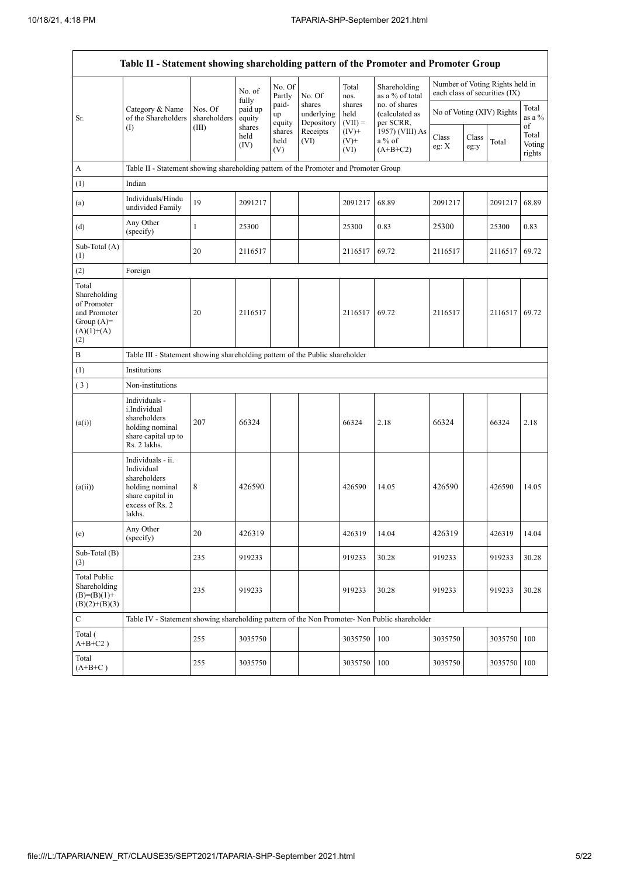|                                                                                             | Table II - Statement showing shareholding pattern of the Promoter and Promoter Group                                |                         |                            |                       |                                    |                             |                                              |                           |               |                                                                  |                                 |
|---------------------------------------------------------------------------------------------|---------------------------------------------------------------------------------------------------------------------|-------------------------|----------------------------|-----------------------|------------------------------------|-----------------------------|----------------------------------------------|---------------------------|---------------|------------------------------------------------------------------|---------------------------------|
|                                                                                             |                                                                                                                     |                         | No. of                     | No. Of<br>Partly      | No. Of                             | Total<br>nos.               | Shareholding<br>as a % of total              |                           |               | Number of Voting Rights held in<br>each class of securities (IX) |                                 |
| Sr.                                                                                         | Category & Name<br>of the Shareholders                                                                              | Nos. Of<br>shareholders | fully<br>paid up<br>equity | paid-<br>up<br>equity | shares<br>underlying<br>Depository | shares<br>held<br>$(VII) =$ | no. of shares<br>(calculated as<br>per SCRR, | No of Voting (XIV) Rights |               |                                                                  | Total<br>as a $\%$              |
|                                                                                             | $($ I                                                                                                               | (III)                   | shares<br>held<br>(IV)     | shares<br>held<br>(V) | Receipts<br>(VI)                   | $(IV)+$<br>$(V)$ +<br>(VI)  | 1957) (VIII) As<br>a % of<br>$(A+B+C2)$      | Class<br>eg: X            | Class<br>eg:y | Total                                                            | of<br>Total<br>Voting<br>rights |
| A                                                                                           | Table II - Statement showing shareholding pattern of the Promoter and Promoter Group                                |                         |                            |                       |                                    |                             |                                              |                           |               |                                                                  |                                 |
| (1)                                                                                         | Indian                                                                                                              |                         |                            |                       |                                    |                             |                                              |                           |               |                                                                  |                                 |
| (a)                                                                                         | Individuals/Hindu<br>undivided Family                                                                               | 19                      | 2091217                    |                       |                                    | 2091217                     | 68.89                                        | 2091217                   |               | 2091217                                                          | 68.89                           |
| (d)                                                                                         | Any Other<br>(specify)                                                                                              | $\mathbf{1}$            | 25300                      |                       |                                    | 25300                       | 0.83                                         | 25300                     |               | 25300                                                            | 0.83                            |
| Sub-Total (A)<br>(1)                                                                        |                                                                                                                     | 20                      | 2116517                    |                       |                                    | 2116517                     | 69.72                                        | 2116517                   |               | 2116517                                                          | 69.72                           |
| (2)                                                                                         | Foreign                                                                                                             |                         |                            |                       |                                    |                             |                                              |                           |               |                                                                  |                                 |
| Total<br>Shareholding<br>of Promoter<br>and Promoter<br>Group $(A)=$<br>$(A)(1)+(A)$<br>(2) |                                                                                                                     | 20                      | 2116517                    |                       |                                    | 2116517                     | 69.72                                        | 2116517                   |               | 2116517                                                          | 69.72                           |
| B                                                                                           | Table III - Statement showing shareholding pattern of the Public shareholder                                        |                         |                            |                       |                                    |                             |                                              |                           |               |                                                                  |                                 |
| (1)                                                                                         | Institutions                                                                                                        |                         |                            |                       |                                    |                             |                                              |                           |               |                                                                  |                                 |
| (3)                                                                                         | Non-institutions                                                                                                    |                         |                            |                       |                                    |                             |                                              |                           |               |                                                                  |                                 |
| (a(i))                                                                                      | Individuals -<br>i.Individual<br>shareholders<br>holding nominal<br>share capital up to<br>Rs. 2 lakhs.             | 207                     | 66324                      |                       |                                    | 66324                       | 2.18                                         | 66324                     |               | 66324                                                            | 2.18                            |
| (a(ii))                                                                                     | Individuals - ii.<br>Individual<br>shareholders<br>holding nominal<br>share capital in<br>excess of Rs. 2<br>lakhs. | 8                       | 426590                     |                       |                                    | 426590                      | 14.05                                        | 426590                    |               | 426590                                                           | 14.05                           |
| (e)                                                                                         | Any Other<br>(specify)                                                                                              | $20\,$                  | 426319                     |                       |                                    | 426319                      | 14.04                                        | 426319                    |               | 426319                                                           | 14.04                           |
| Sub-Total (B)<br>(3)                                                                        |                                                                                                                     | 235                     | 919233                     |                       |                                    | 919233                      | 30.28                                        | 919233                    |               | 919233                                                           | 30.28                           |
| <b>Total Public</b><br>Shareholding<br>$(B)=(B)(1)+$<br>$(B)(2)+(B)(3)$                     |                                                                                                                     | 235                     | 919233                     |                       |                                    | 919233                      | 30.28                                        | 919233                    |               | 919233                                                           | 30.28                           |
| C                                                                                           | Table IV - Statement showing shareholding pattern of the Non Promoter- Non Public shareholder                       |                         |                            |                       |                                    |                             |                                              |                           |               |                                                                  |                                 |
| Total (<br>$A+B+C2$ )                                                                       |                                                                                                                     | 255                     | 3035750                    |                       |                                    | 3035750                     | 100                                          | 3035750                   |               | 3035750                                                          | 100                             |
| Total<br>$(A+B+C)$                                                                          |                                                                                                                     | 255                     | 3035750                    |                       |                                    | 3035750                     | 100                                          | 3035750                   |               | 3035750                                                          | 100                             |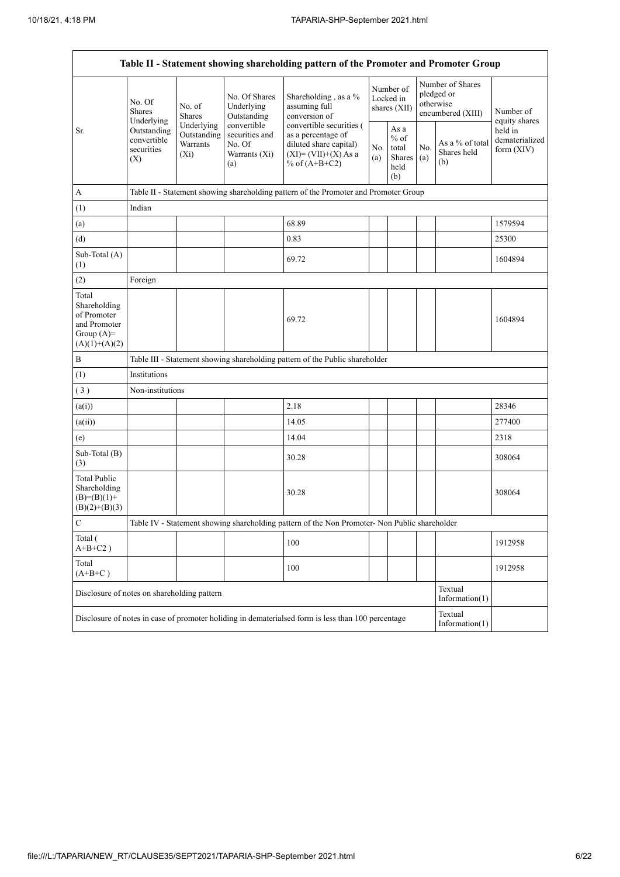$\mathbf{r}$ 

L,

| Table II - Statement showing shareholding pattern of the Promoter and Promoter Group    |                                                 |                                                         |                                                                                                                                                                                           |                                                                                                    |            |                                                  |            |                                                                  |                                           |  |  |
|-----------------------------------------------------------------------------------------|-------------------------------------------------|---------------------------------------------------------|-------------------------------------------------------------------------------------------------------------------------------------------------------------------------------------------|----------------------------------------------------------------------------------------------------|------------|--------------------------------------------------|------------|------------------------------------------------------------------|-------------------------------------------|--|--|
|                                                                                         | No. Of<br><b>Shares</b><br>Underlying           | No. of<br>Shares                                        | No. Of Shares<br>Underlying<br>Outstanding                                                                                                                                                | Shareholding, as a %<br>assuming full<br>conversion of                                             |            | Number of<br>Locked in<br>shares (XII)           |            | Number of Shares<br>pledged or<br>otherwise<br>encumbered (XIII) | Number of<br>equity shares                |  |  |
| Sr.                                                                                     | Outstanding<br>convertible<br>securities<br>(X) | Underlying<br>Outstanding<br><b>Warrants</b><br>$(X_i)$ | convertible securities (<br>convertible<br>securities and<br>as a percentage of<br>No. Of<br>diluted share capital)<br>Warrants (Xi)<br>$(XI) = (VII)+(X) As a$<br>% of $(A+B+C2)$<br>(a) |                                                                                                    | No.<br>(a) | As a<br>$%$ of<br>total<br>Shares<br>held<br>(b) | No.<br>(a) | As a % of total<br>Shares held<br>(b)                            | held in<br>dematerialized<br>form $(XIV)$ |  |  |
| $\mathbf A$                                                                             |                                                 |                                                         |                                                                                                                                                                                           | Table II - Statement showing shareholding pattern of the Promoter and Promoter Group               |            |                                                  |            |                                                                  |                                           |  |  |
| (1)                                                                                     | Indian                                          |                                                         |                                                                                                                                                                                           |                                                                                                    |            |                                                  |            |                                                                  |                                           |  |  |
| (a)                                                                                     |                                                 |                                                         |                                                                                                                                                                                           | 68.89                                                                                              |            |                                                  |            |                                                                  | 1579594                                   |  |  |
| (d)                                                                                     |                                                 |                                                         |                                                                                                                                                                                           | 0.83                                                                                               |            |                                                  |            |                                                                  | 25300                                     |  |  |
| Sub-Total (A)<br>(1)                                                                    |                                                 |                                                         |                                                                                                                                                                                           | 69.72                                                                                              |            |                                                  |            |                                                                  | 1604894                                   |  |  |
| (2)                                                                                     | Foreign                                         |                                                         |                                                                                                                                                                                           |                                                                                                    |            |                                                  |            |                                                                  |                                           |  |  |
| Total<br>Shareholding<br>of Promoter<br>and Promoter<br>Group $(A)=$<br>$(A)(1)+(A)(2)$ |                                                 |                                                         |                                                                                                                                                                                           | 69.72                                                                                              |            |                                                  |            |                                                                  | 1604894                                   |  |  |
| $\, {\bf B}$                                                                            |                                                 |                                                         |                                                                                                                                                                                           | Table III - Statement showing shareholding pattern of the Public shareholder                       |            |                                                  |            |                                                                  |                                           |  |  |
| (1)                                                                                     | Institutions                                    |                                                         |                                                                                                                                                                                           |                                                                                                    |            |                                                  |            |                                                                  |                                           |  |  |
| (3)                                                                                     | Non-institutions                                |                                                         |                                                                                                                                                                                           |                                                                                                    |            |                                                  |            |                                                                  |                                           |  |  |
| (a(i))                                                                                  |                                                 |                                                         |                                                                                                                                                                                           | 2.18                                                                                               |            |                                                  |            |                                                                  | 28346                                     |  |  |
| (a(ii))                                                                                 |                                                 |                                                         |                                                                                                                                                                                           | 14.05                                                                                              |            |                                                  |            |                                                                  | 277400                                    |  |  |
| (e)                                                                                     |                                                 |                                                         |                                                                                                                                                                                           | 14.04                                                                                              |            |                                                  |            |                                                                  | 2318                                      |  |  |
| Sub-Total (B)<br>(3)                                                                    |                                                 |                                                         |                                                                                                                                                                                           | 30.28                                                                                              |            |                                                  |            |                                                                  | 308064                                    |  |  |
| <b>Total Public</b><br>Shareholding<br>$(B)= (B)(1) +$<br>$(B)(2)+(B)(3)$               |                                                 |                                                         |                                                                                                                                                                                           | 30.28                                                                                              |            |                                                  |            |                                                                  | 308064                                    |  |  |
| С                                                                                       |                                                 |                                                         |                                                                                                                                                                                           | Table IV - Statement showing shareholding pattern of the Non Promoter- Non Public shareholder      |            |                                                  |            |                                                                  |                                           |  |  |
| Total (<br>$A+B+C2$ )                                                                   |                                                 |                                                         |                                                                                                                                                                                           | 100                                                                                                |            |                                                  |            |                                                                  | 1912958                                   |  |  |
| Total<br>$(A+B+C)$                                                                      |                                                 |                                                         |                                                                                                                                                                                           | 100                                                                                                |            |                                                  |            |                                                                  | 1912958                                   |  |  |
| Disclosure of notes on shareholding pattern                                             |                                                 |                                                         |                                                                                                                                                                                           |                                                                                                    |            |                                                  |            | Textual<br>Information $(1)$                                     |                                           |  |  |
|                                                                                         |                                                 |                                                         |                                                                                                                                                                                           | Disclosure of notes in case of promoter holiding in dematerialsed form is less than 100 percentage |            |                                                  |            | Textual<br>Information(1)                                        |                                           |  |  |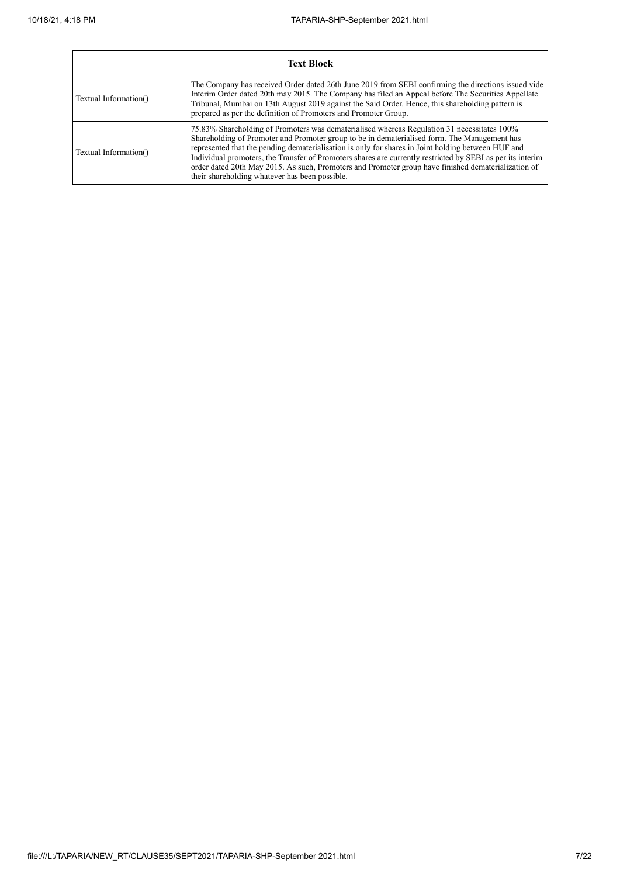|                       | <b>Text Block</b>                                                                                                                                                                                                                                                                                                                                                                                                                                                                                                                                                        |
|-----------------------|--------------------------------------------------------------------------------------------------------------------------------------------------------------------------------------------------------------------------------------------------------------------------------------------------------------------------------------------------------------------------------------------------------------------------------------------------------------------------------------------------------------------------------------------------------------------------|
| Textual Information() | The Company has received Order dated 26th June 2019 from SEBI confirming the directions issued vide<br>Interim Order dated 20th may 2015. The Company has filed an Appeal before The Securities Appellate<br>Tribunal, Mumbai on 13th August 2019 against the Said Order. Hence, this shareholding pattern is<br>prepared as per the definition of Promoters and Promoter Group.                                                                                                                                                                                         |
| Textual Information() | 75.83% Shareholding of Promoters was dematerialised whereas Regulation 31 necessitates 100%<br>Shareholding of Promoter and Promoter group to be in dematerialised form. The Management has<br>represented that the pending dematerialisation is only for shares in Joint holding between HUF and<br>Individual promoters, the Transfer of Promoters shares are currently restricted by SEBI as per its interim<br>order dated 20th May 2015. As such, Promoters and Promoter group have finished dematerialization of<br>their shareholding whatever has been possible. |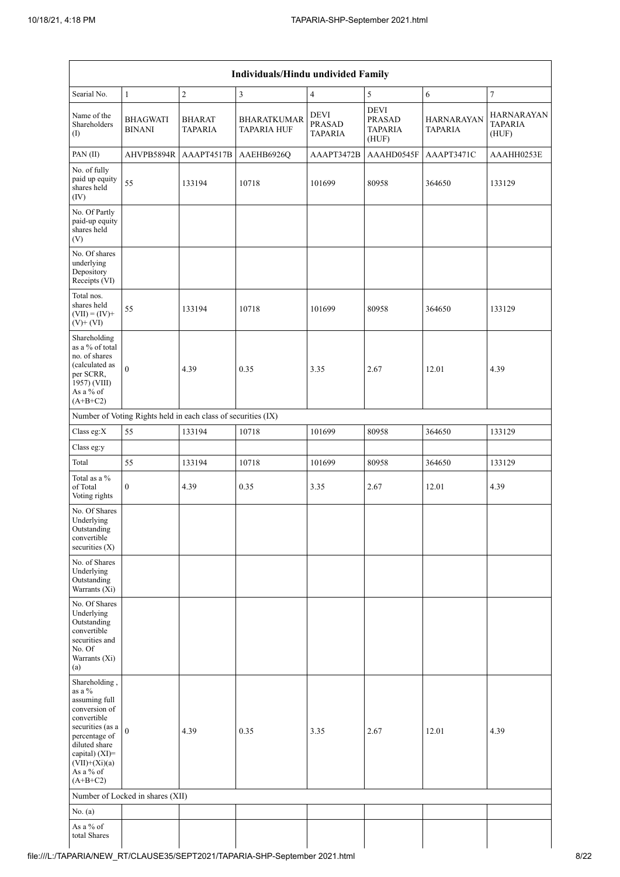| Individuals/Hindu undivided Family                                                                                                                                                                |                                  |                                                               |                                          |                                                |                                                         |                                     |                                              |  |  |  |  |  |
|---------------------------------------------------------------------------------------------------------------------------------------------------------------------------------------------------|----------------------------------|---------------------------------------------------------------|------------------------------------------|------------------------------------------------|---------------------------------------------------------|-------------------------------------|----------------------------------------------|--|--|--|--|--|
| Searial No.                                                                                                                                                                                       | $\mathbf{1}$                     | $\overline{c}$                                                | $\mathfrak z$                            | $\overline{4}$                                 | 5                                                       | 6                                   | $\boldsymbol{7}$                             |  |  |  |  |  |
| Name of the<br>Shareholders<br>(1)                                                                                                                                                                | <b>BHAGWATI</b><br><b>BINANI</b> | <b>BHARAT</b><br>TAPARIA                                      | <b>BHARATKUMAR</b><br><b>TAPARIA HUF</b> | <b>DEVI</b><br><b>PRASAD</b><br><b>TAPARIA</b> | <b>DEVI</b><br><b>PRASAD</b><br><b>TAPARIA</b><br>(HUF) | <b>HARNARAYAN</b><br><b>TAPARIA</b> | <b>HARNARAYAN</b><br><b>TAPARIA</b><br>(HUF) |  |  |  |  |  |
| PAN (II)                                                                                                                                                                                          | AHVPB5894R                       | AAAPT4517B                                                    | AAEHB6926Q                               | AAAPT3472B                                     | AAAHD0545F                                              | AAAPT3471C                          | AAAHH0253E                                   |  |  |  |  |  |
| No. of fully<br>paid up equity<br>shares held<br>(IV)                                                                                                                                             | 55                               | 133194                                                        | 10718                                    | 101699                                         | 80958                                                   | 364650                              | 133129                                       |  |  |  |  |  |
| No. Of Partly<br>paid-up equity<br>shares held<br>(V)                                                                                                                                             |                                  |                                                               |                                          |                                                |                                                         |                                     |                                              |  |  |  |  |  |
| No. Of shares<br>underlying<br>Depository<br>Receipts (VI)                                                                                                                                        |                                  |                                                               |                                          |                                                |                                                         |                                     |                                              |  |  |  |  |  |
| Total nos.<br>shares held<br>$(VII) = (IV) +$<br>$(V)$ + $(V)$                                                                                                                                    | 55                               | 133194                                                        | 10718                                    | 101699                                         | 80958                                                   | 364650                              | 133129                                       |  |  |  |  |  |
| Shareholding<br>as a % of total<br>no. of shares<br>(calculated as<br>per SCRR,<br>1957) (VIII)<br>As a % of<br>$(A+B+C2)$                                                                        | $\overline{0}$                   | 4.39                                                          | 0.35                                     | 3.35                                           | 2.67                                                    | 12.01                               | 4.39                                         |  |  |  |  |  |
|                                                                                                                                                                                                   |                                  | Number of Voting Rights held in each class of securities (IX) |                                          |                                                |                                                         |                                     |                                              |  |  |  |  |  |
| Class eg: $X$                                                                                                                                                                                     | 55                               | 133194                                                        | 10718                                    | 101699                                         | 80958                                                   | 364650                              | 133129                                       |  |  |  |  |  |
| Class eg:y                                                                                                                                                                                        |                                  |                                                               |                                          |                                                |                                                         |                                     |                                              |  |  |  |  |  |
| Total                                                                                                                                                                                             | 55                               | 133194                                                        | 10718                                    | 101699                                         | 80958                                                   | 364650                              | 133129                                       |  |  |  |  |  |
| Total as a %<br>of Total<br>Voting rights                                                                                                                                                         | $\overline{0}$                   | 4.39                                                          | 0.35                                     | 3.35                                           | 2.67                                                    | 12.01                               | 4.39                                         |  |  |  |  |  |
| No. Of Shares<br>Underlying<br>Outstanding<br>convertible<br>securities (X)                                                                                                                       |                                  |                                                               |                                          |                                                |                                                         |                                     |                                              |  |  |  |  |  |
| No. of Shares<br>Underlying<br>Outstanding<br>Warrants (Xi)                                                                                                                                       |                                  |                                                               |                                          |                                                |                                                         |                                     |                                              |  |  |  |  |  |
| No. Of Shares<br>Underlying<br>Outstanding<br>convertible<br>securities and<br>No. Of<br>Warrants (Xi)<br>(a)                                                                                     |                                  |                                                               |                                          |                                                |                                                         |                                     |                                              |  |  |  |  |  |
| Shareholding,<br>as a $\%$<br>assuming full<br>conversion of<br>convertible<br>securities (as a<br>percentage of<br>diluted share<br>capital) (XI)=<br>$(VII)+(Xi)(a)$<br>As a % of<br>$(A+B+C2)$ | $\theta$                         | 4.39                                                          | 0.35                                     | 3.35                                           | 2.67                                                    | 12.01                               | 4.39                                         |  |  |  |  |  |
|                                                                                                                                                                                                   | Number of Locked in shares (XII) |                                                               |                                          |                                                |                                                         |                                     |                                              |  |  |  |  |  |
| No. (a)                                                                                                                                                                                           |                                  |                                                               |                                          |                                                |                                                         |                                     |                                              |  |  |  |  |  |
| As a % of<br>total Shares                                                                                                                                                                         |                                  |                                                               |                                          |                                                |                                                         |                                     |                                              |  |  |  |  |  |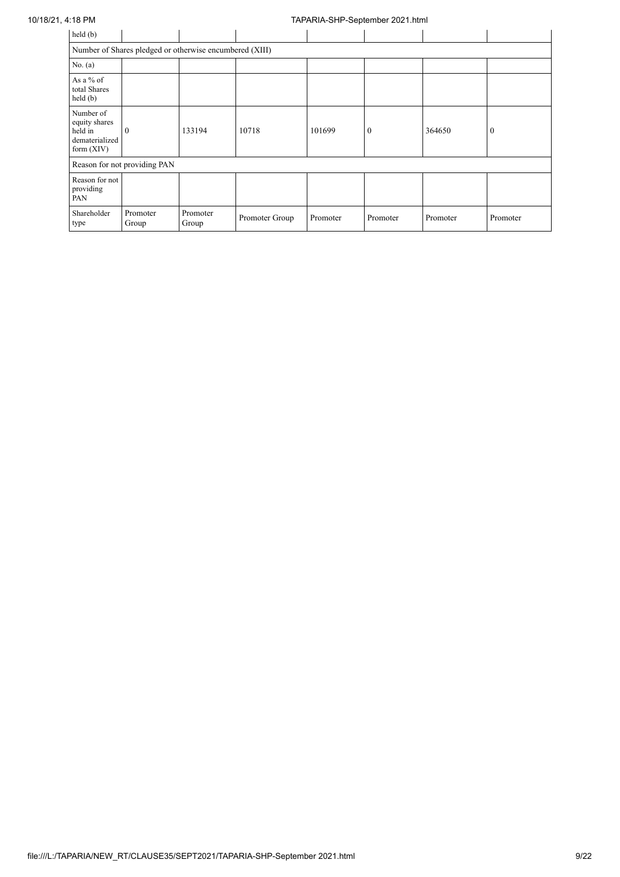## 10/18/21, 4:18 PM TAPARIA-SHP-September 2021.html

| held (b)                                                                |                                                         |                   |                |          |                |          |          |  |  |  |  |  |  |
|-------------------------------------------------------------------------|---------------------------------------------------------|-------------------|----------------|----------|----------------|----------|----------|--|--|--|--|--|--|
|                                                                         | Number of Shares pledged or otherwise encumbered (XIII) |                   |                |          |                |          |          |  |  |  |  |  |  |
| No. (a)                                                                 |                                                         |                   |                |          |                |          |          |  |  |  |  |  |  |
| As a % of<br>total Shares<br>held (b)                                   |                                                         |                   |                |          |                |          |          |  |  |  |  |  |  |
| Number of<br>equity shares<br>held in<br>dematerialized<br>form $(XIV)$ | $\theta$                                                | 133194            | 10718          | 101699   | $\overline{0}$ | 364650   | $\theta$ |  |  |  |  |  |  |
|                                                                         | Reason for not providing PAN                            |                   |                |          |                |          |          |  |  |  |  |  |  |
| Reason for not<br>providing<br>PAN                                      |                                                         |                   |                |          |                |          |          |  |  |  |  |  |  |
| Shareholder<br>type                                                     | Promoter<br>Group                                       | Promoter<br>Group | Promoter Group | Promoter | Promoter       | Promoter | Promoter |  |  |  |  |  |  |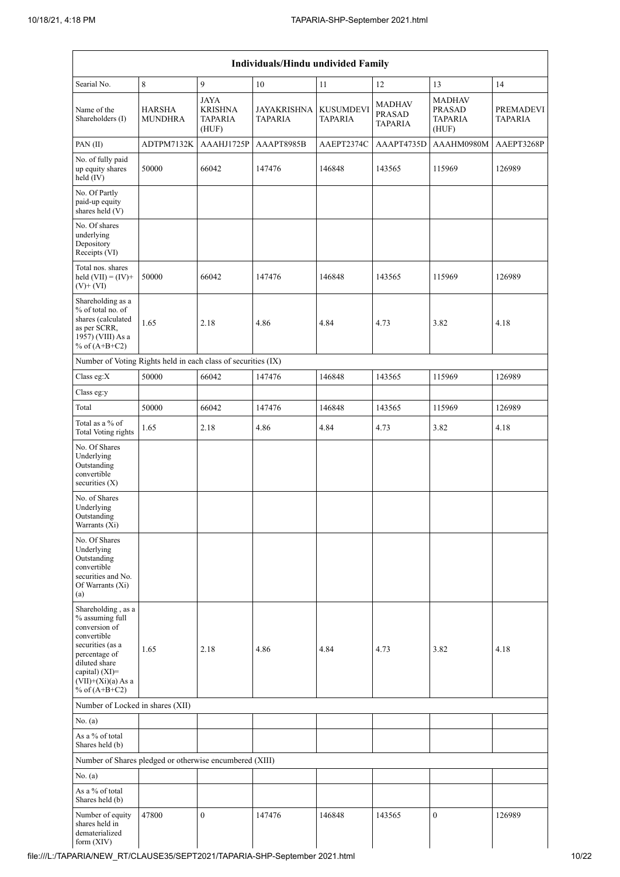| Individuals/Hindu undivided Family                                                                                                                                                       |                                 |                                                          |                                      |                             |                                                  |                                                    |                                    |  |  |  |  |  |
|------------------------------------------------------------------------------------------------------------------------------------------------------------------------------------------|---------------------------------|----------------------------------------------------------|--------------------------------------|-----------------------------|--------------------------------------------------|----------------------------------------------------|------------------------------------|--|--|--|--|--|
| Searial No.                                                                                                                                                                              | 8                               | 9                                                        | 10                                   | 11                          | 12                                               | 13                                                 | 14                                 |  |  |  |  |  |
| Name of the<br>Shareholders (I)                                                                                                                                                          | <b>HARSHA</b><br><b>MUNDHRA</b> | <b>JAYA</b><br><b>KRISHNA</b><br><b>TAPARIA</b><br>(HUF) | <b>JAYAKRISHNA</b><br><b>TAPARIA</b> | <b>KUSUMDEVI</b><br>TAPARIA | <b>MADHAV</b><br><b>PRASAD</b><br><b>TAPARIA</b> | <b>MADHAV</b><br>PRASAD<br><b>TAPARIA</b><br>(HUF) | <b>PREMADEVI</b><br><b>TAPARIA</b> |  |  |  |  |  |
| PAN(II)                                                                                                                                                                                  | ADTPM7132K                      | AAAHJ1725P                                               | AAAPT8985B                           | AAEPT2374C                  | AAAPT4735D                                       | AAAHM0980M                                         | AAEPT3268P                         |  |  |  |  |  |
| No. of fully paid<br>up equity shares<br>held (IV)                                                                                                                                       | 50000                           | 66042                                                    | 147476                               | 146848                      | 143565                                           | 115969                                             | 126989                             |  |  |  |  |  |
| No. Of Partly<br>paid-up equity<br>shares held (V)                                                                                                                                       |                                 |                                                          |                                      |                             |                                                  |                                                    |                                    |  |  |  |  |  |
| No. Of shares<br>underlying<br>Depository<br>Receipts (VI)                                                                                                                               |                                 |                                                          |                                      |                             |                                                  |                                                    |                                    |  |  |  |  |  |
| Total nos. shares<br>held $(VII) = (IV) +$<br>$(V)$ + $(VI)$                                                                                                                             | 50000                           | 66042                                                    | 147476                               | 146848                      | 143565                                           | 115969                                             | 126989                             |  |  |  |  |  |
| Shareholding as a<br>% of total no. of<br>shares (calculated<br>as per SCRR,<br>1957) (VIII) As a<br>% of $(A+B+C2)$                                                                     | 1.65                            | 2.18                                                     | 4.86                                 | 4.84                        | 4.73                                             | 3.82                                               | 4.18                               |  |  |  |  |  |
| Number of Voting Rights held in each class of securities (IX)                                                                                                                            |                                 |                                                          |                                      |                             |                                                  |                                                    |                                    |  |  |  |  |  |
| Class eg:X                                                                                                                                                                               | 50000                           | 66042                                                    | 147476                               | 146848                      | 143565                                           | 115969                                             | 126989                             |  |  |  |  |  |
| Class eg:y                                                                                                                                                                               |                                 |                                                          |                                      |                             |                                                  |                                                    |                                    |  |  |  |  |  |
| Total                                                                                                                                                                                    | 50000                           | 66042                                                    | 147476                               | 146848                      | 143565                                           | 115969                                             | 126989                             |  |  |  |  |  |
| Total as a % of<br><b>Total Voting rights</b>                                                                                                                                            | 1.65                            | 2.18                                                     | 4.86                                 | 4.84                        | 4.73                                             | 3.82                                               | 4.18                               |  |  |  |  |  |
| No. Of Shares<br>Underlying<br>Outstanding<br>convertible<br>securities (X)                                                                                                              |                                 |                                                          |                                      |                             |                                                  |                                                    |                                    |  |  |  |  |  |
| No. of Shares<br>Underlying<br>Outstanding<br>Warrants (Xi)                                                                                                                              |                                 |                                                          |                                      |                             |                                                  |                                                    |                                    |  |  |  |  |  |
| No. Of Shares<br>Underlying<br>Outstanding<br>convertible<br>securities and No.<br>Of Warrants (Xi)<br>(a)                                                                               |                                 |                                                          |                                      |                             |                                                  |                                                    |                                    |  |  |  |  |  |
| Shareholding, as a<br>% assuming full<br>conversion of<br>convertible<br>securities (as a<br>percentage of<br>diluted share<br>capital) (XI)=<br>$(VII)+(Xi)(a)$ As a<br>% of $(A+B+C2)$ | 1.65                            | 2.18                                                     | 4.86                                 | 4.84                        | 4.73                                             | 3.82                                               | 4.18                               |  |  |  |  |  |
| Number of Locked in shares (XII)                                                                                                                                                         |                                 |                                                          |                                      |                             |                                                  |                                                    |                                    |  |  |  |  |  |
| No. (a)                                                                                                                                                                                  |                                 |                                                          |                                      |                             |                                                  |                                                    |                                    |  |  |  |  |  |
| As a $\%$ of total<br>Shares held (b)                                                                                                                                                    |                                 |                                                          |                                      |                             |                                                  |                                                    |                                    |  |  |  |  |  |
| Number of Shares pledged or otherwise encumbered (XIII)                                                                                                                                  |                                 |                                                          |                                      |                             |                                                  |                                                    |                                    |  |  |  |  |  |
| No. (a)                                                                                                                                                                                  |                                 |                                                          |                                      |                             |                                                  |                                                    |                                    |  |  |  |  |  |
| As a % of total<br>Shares held (b)                                                                                                                                                       |                                 |                                                          |                                      |                             |                                                  |                                                    |                                    |  |  |  |  |  |
| Number of equity<br>shares held in<br>dematerialized<br>form $(XIV)$                                                                                                                     | 47800                           | $\mathbf{0}$                                             | 147476                               | 146848                      | 143565                                           | $\boldsymbol{0}$                                   | 126989                             |  |  |  |  |  |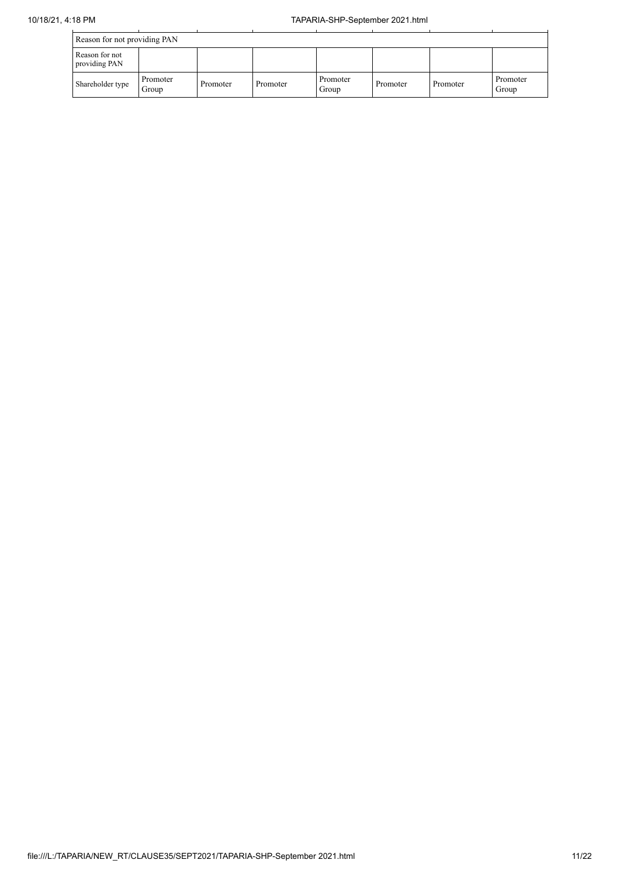| Reason for not providing PAN    |                   |          |          |                   |          |          |                   |
|---------------------------------|-------------------|----------|----------|-------------------|----------|----------|-------------------|
| Reason for not<br>providing PAN |                   |          |          |                   |          |          |                   |
| Shareholder type                | Promoter<br>Group | Promoter | Promoter | Promoter<br>Group | Promoter | Promoter | Promoter<br>Group |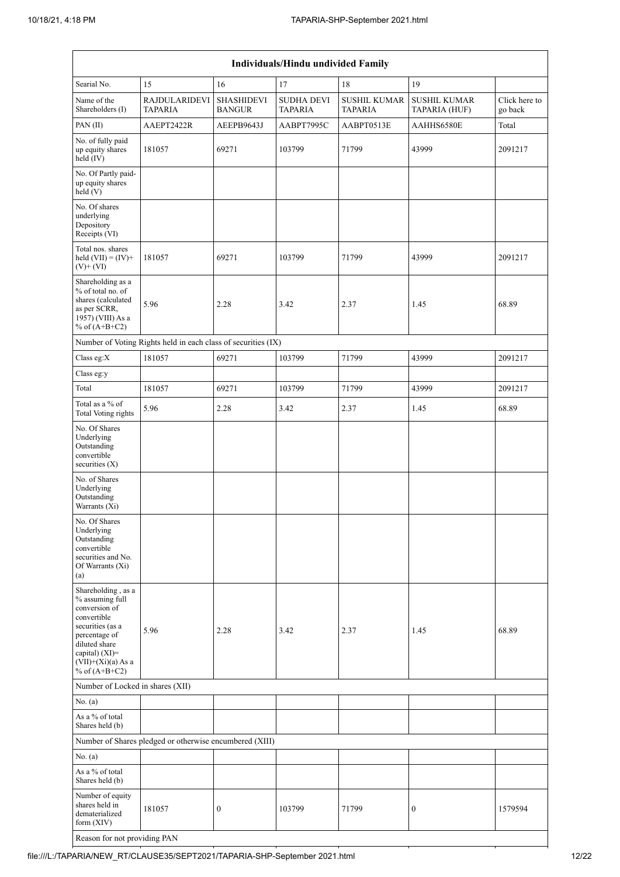| Individuals/Hindu undivided Family                                                                                                                                                          |                                                               |                                    |                                     |                                       |                                      |                          |  |  |  |  |  |
|---------------------------------------------------------------------------------------------------------------------------------------------------------------------------------------------|---------------------------------------------------------------|------------------------------------|-------------------------------------|---------------------------------------|--------------------------------------|--------------------------|--|--|--|--|--|
| Searial No.                                                                                                                                                                                 | 15                                                            | 16                                 | 17                                  | 18                                    | 19                                   |                          |  |  |  |  |  |
| Name of the<br>Shareholders (I)                                                                                                                                                             | <b>RAJDULARIDEVI</b><br><b>TAPARIA</b>                        | <b>SHASHIDEVI</b><br><b>BANGUR</b> | <b>SUDHA DEVI</b><br><b>TAPARIA</b> | <b>SUSHIL KUMAR</b><br><b>TAPARIA</b> | <b>SUSHIL KUMAR</b><br>TAPARIA (HUF) | Click here to<br>go back |  |  |  |  |  |
| PAN(II)                                                                                                                                                                                     | AAEPT2422R                                                    | AEEPB9643J                         | AABPT7995C                          | AABPT0513E                            | AAHHS6580E                           | Total                    |  |  |  |  |  |
| No. of fully paid<br>up equity shares<br>held (IV)                                                                                                                                          | 181057                                                        | 69271                              | 103799                              | 71799                                 | 43999                                | 2091217                  |  |  |  |  |  |
| No. Of Partly paid-<br>up equity shares<br>held(V)                                                                                                                                          |                                                               |                                    |                                     |                                       |                                      |                          |  |  |  |  |  |
| No. Of shares<br>underlying<br>Depository<br>Receipts (VI)                                                                                                                                  |                                                               |                                    |                                     |                                       |                                      |                          |  |  |  |  |  |
| Total nos. shares<br>held $(VII) = (IV) +$<br>$(V)$ + $(VI)$                                                                                                                                | 181057                                                        | 69271                              | 103799                              | 71799                                 | 43999                                | 2091217                  |  |  |  |  |  |
| Shareholding as a<br>% of total no. of<br>shares (calculated<br>as per SCRR,<br>1957) (VIII) As a<br>% of $(A+B+C2)$                                                                        | 5.96                                                          | 2.28                               | 3.42                                | 2.37                                  | 1.45                                 | 68.89                    |  |  |  |  |  |
|                                                                                                                                                                                             | Number of Voting Rights held in each class of securities (IX) |                                    |                                     |                                       |                                      |                          |  |  |  |  |  |
| Class eg:X                                                                                                                                                                                  | 181057                                                        | 69271                              | 103799                              | 71799                                 | 43999                                | 2091217                  |  |  |  |  |  |
| Class eg:y                                                                                                                                                                                  |                                                               |                                    |                                     |                                       |                                      |                          |  |  |  |  |  |
| Total                                                                                                                                                                                       | 181057                                                        | 69271                              | 103799                              | 71799                                 | 43999                                | 2091217                  |  |  |  |  |  |
| Total as a % of<br><b>Total Voting rights</b>                                                                                                                                               | 5.96                                                          | 2.28                               | 3.42                                | 2.37                                  | 1.45                                 | 68.89                    |  |  |  |  |  |
| No. Of Shares<br>Underlying<br>Outstanding<br>convertible<br>securities (X)                                                                                                                 |                                                               |                                    |                                     |                                       |                                      |                          |  |  |  |  |  |
| No. of Shares<br>Underlying<br>Outstanding<br>Warrants (Xi)                                                                                                                                 |                                                               |                                    |                                     |                                       |                                      |                          |  |  |  |  |  |
| No. Of Shares<br>Underlying<br>Outstanding<br>convertible<br>securities and No.<br>Of Warrants (Xi)<br>(a)                                                                                  |                                                               |                                    |                                     |                                       |                                      |                          |  |  |  |  |  |
| Shareholding, as a<br>% assuming full<br>conversion of<br>convertible<br>securities (as a<br>percentage of<br>diluted share<br>capital) $(XI)$ =<br>$(VII)+(Xi)(a)$ As a<br>% of $(A+B+C2)$ | 5.96                                                          | 2.28                               | 3.42                                | 2.37                                  | 1.45                                 | 68.89                    |  |  |  |  |  |
| Number of Locked in shares (XII)                                                                                                                                                            |                                                               |                                    |                                     |                                       |                                      |                          |  |  |  |  |  |
| No. (a)                                                                                                                                                                                     |                                                               |                                    |                                     |                                       |                                      |                          |  |  |  |  |  |
| As a % of total<br>Shares held (b)                                                                                                                                                          |                                                               |                                    |                                     |                                       |                                      |                          |  |  |  |  |  |
|                                                                                                                                                                                             | Number of Shares pledged or otherwise encumbered (XIII)       |                                    |                                     |                                       |                                      |                          |  |  |  |  |  |
| No. (a)                                                                                                                                                                                     |                                                               |                                    |                                     |                                       |                                      |                          |  |  |  |  |  |
| As a % of total<br>Shares held (b)                                                                                                                                                          |                                                               |                                    |                                     |                                       |                                      |                          |  |  |  |  |  |
| Number of equity<br>shares held in<br>dematerialized<br>form (XIV)                                                                                                                          | 181057                                                        | $\boldsymbol{0}$                   | 103799                              | 71799                                 | $\boldsymbol{0}$                     | 1579594                  |  |  |  |  |  |

Reason for not providing PAN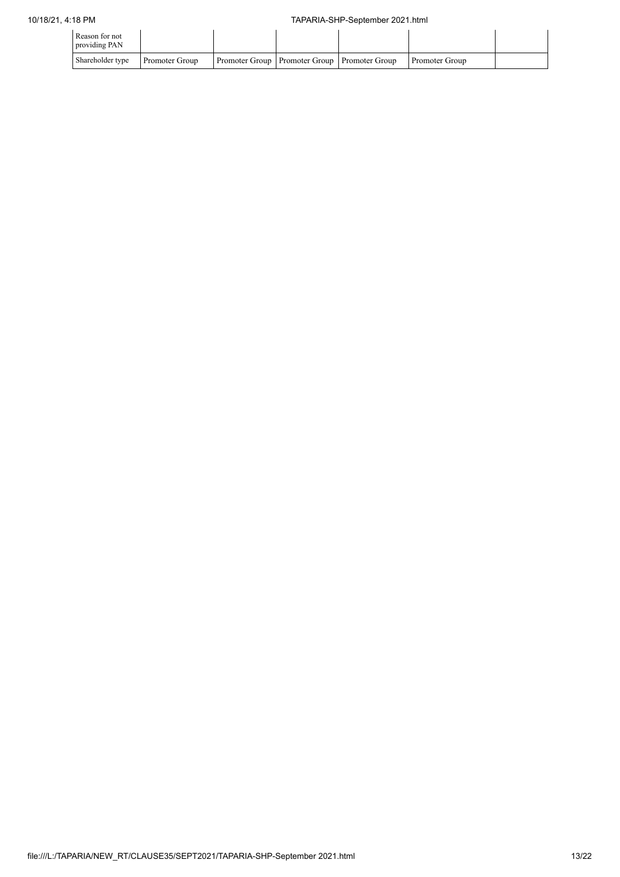| Reason for not<br>providing PAN |                |                                                  |                |  |
|---------------------------------|----------------|--------------------------------------------------|----------------|--|
| Shareholder type                | Promoter Group | Promoter Group   Promoter Group   Promoter Group | Promoter Group |  |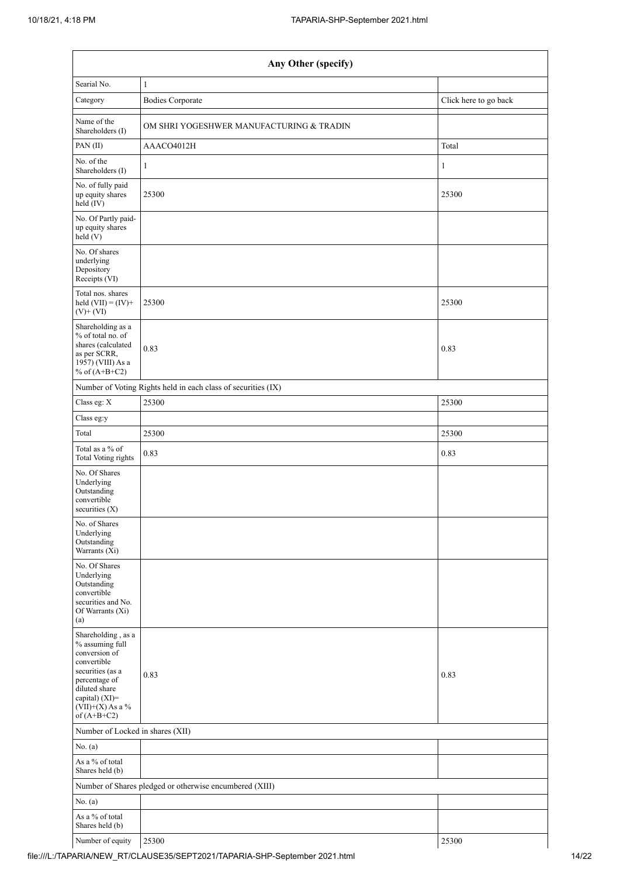| Any Other (specify)                                                                                                                                                                  |                                                               |                       |  |  |  |  |  |
|--------------------------------------------------------------------------------------------------------------------------------------------------------------------------------------|---------------------------------------------------------------|-----------------------|--|--|--|--|--|
| Searial No.                                                                                                                                                                          | $\mathbf{1}$                                                  |                       |  |  |  |  |  |
| Category                                                                                                                                                                             | <b>Bodies Corporate</b>                                       | Click here to go back |  |  |  |  |  |
| Name of the<br>Shareholders (I)                                                                                                                                                      | OM SHRI YOGESHWER MANUFACTURING & TRADIN                      |                       |  |  |  |  |  |
| PAN(II)                                                                                                                                                                              | AAACO4012H                                                    | Total                 |  |  |  |  |  |
| No. of the<br>Shareholders (I)                                                                                                                                                       | $\mathbf{1}$                                                  | $\mathbf{1}$          |  |  |  |  |  |
| No. of fully paid<br>up equity shares<br>held (IV)                                                                                                                                   | 25300                                                         | 25300                 |  |  |  |  |  |
| No. Of Partly paid-<br>up equity shares<br>held(V)                                                                                                                                   |                                                               |                       |  |  |  |  |  |
| No. Of shares<br>underlying<br>Depository<br>Receipts (VI)                                                                                                                           |                                                               |                       |  |  |  |  |  |
| Total nos. shares<br>held $(VII) = (IV) +$<br>$(V)$ + $(VI)$                                                                                                                         | 25300                                                         | 25300                 |  |  |  |  |  |
| Shareholding as a<br>% of total no. of<br>shares (calculated<br>as per SCRR,<br>1957) (VIII) As a<br>% of $(A+B+C2)$                                                                 | 0.83                                                          | 0.83                  |  |  |  |  |  |
|                                                                                                                                                                                      | Number of Voting Rights held in each class of securities (IX) |                       |  |  |  |  |  |
| Class eg: X                                                                                                                                                                          | 25300                                                         | 25300                 |  |  |  |  |  |
| Class eg:y                                                                                                                                                                           |                                                               |                       |  |  |  |  |  |
| Total                                                                                                                                                                                | 25300                                                         | 25300                 |  |  |  |  |  |
| Total as a % of<br>Total Voting rights                                                                                                                                               | 0.83                                                          | 0.83                  |  |  |  |  |  |
| No. Of Shares<br>Underlying<br>Outstanding<br>convertible<br>securities (X)                                                                                                          |                                                               |                       |  |  |  |  |  |
| No. of Shares<br>Underlying<br>Outstanding<br>Warrants (Xi)                                                                                                                          |                                                               |                       |  |  |  |  |  |
| No. Of Shares<br>Underlying<br>Outstanding<br>convertible<br>securities and No.<br>Of Warrants (Xi)<br>(a)                                                                           |                                                               |                       |  |  |  |  |  |
| Shareholding, as a<br>% assuming full<br>conversion of<br>convertible<br>securities (as a<br>percentage of<br>diluted share<br>capital) (XI)=<br>$(VII)+(X)$ As a %<br>of $(A+B+C2)$ | 0.83                                                          | 0.83                  |  |  |  |  |  |
| Number of Locked in shares (XII)                                                                                                                                                     |                                                               |                       |  |  |  |  |  |
| No. (a)                                                                                                                                                                              |                                                               |                       |  |  |  |  |  |
| As a % of total<br>Shares held (b)                                                                                                                                                   |                                                               |                       |  |  |  |  |  |
|                                                                                                                                                                                      | Number of Shares pledged or otherwise encumbered (XIII)       |                       |  |  |  |  |  |
| No. (a)                                                                                                                                                                              |                                                               |                       |  |  |  |  |  |
| As a % of total<br>Shares held (b)                                                                                                                                                   |                                                               |                       |  |  |  |  |  |
| Number of equity                                                                                                                                                                     | 25300                                                         | 25300                 |  |  |  |  |  |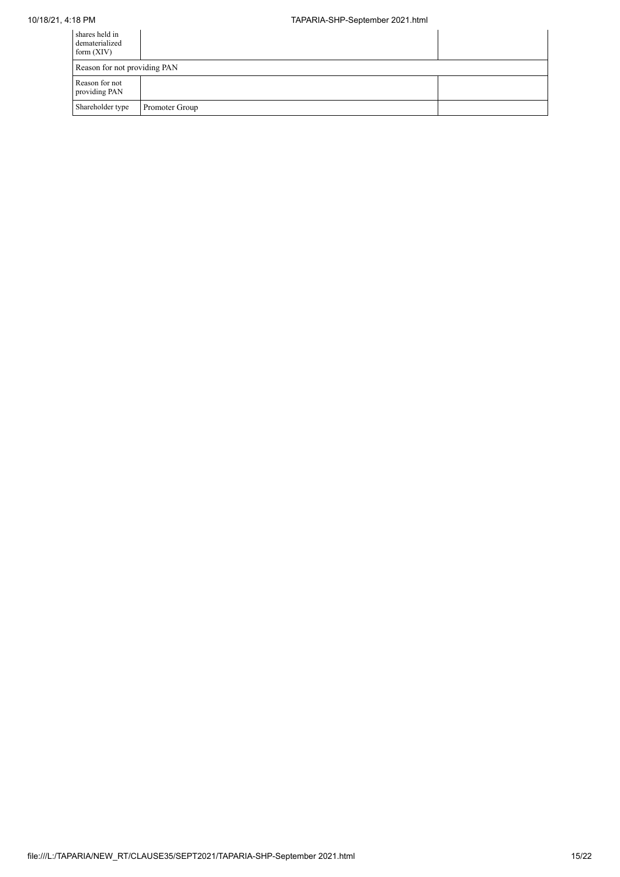# 10/18/21, 4:18 PM TAPARIA-SHP-September 2021.html

| shares held in<br>dematerialized<br>form $(XIV)$ |                |  |
|--------------------------------------------------|----------------|--|
| Reason for not providing PAN                     |                |  |
| Reason for not<br>providing PAN                  |                |  |
| Shareholder type                                 | Promoter Group |  |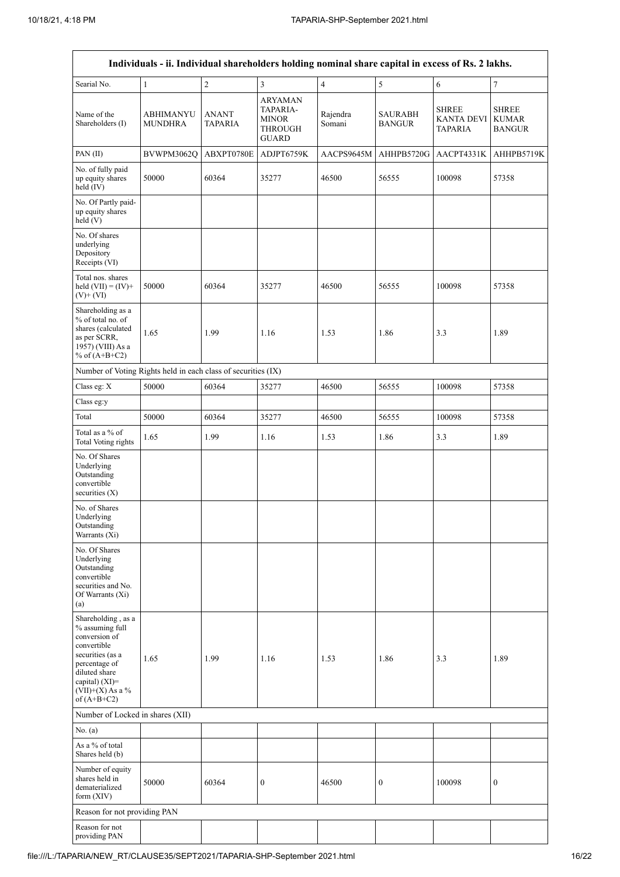| Individuals - ii. Individual shareholders holding nominal share capital in excess of Rs. 2 lakhs.                                                                                       |                                    |                                |                                                                       |                         |                                 |                                                     |                                               |  |
|-----------------------------------------------------------------------------------------------------------------------------------------------------------------------------------------|------------------------------------|--------------------------------|-----------------------------------------------------------------------|-------------------------|---------------------------------|-----------------------------------------------------|-----------------------------------------------|--|
| Searial No.                                                                                                                                                                             | $\mathbf{1}$                       | $\overline{c}$                 | $\overline{3}$                                                        | $\overline{\mathbf{4}}$ | $\sqrt{5}$                      | $\sqrt{6}$                                          | $\boldsymbol{7}$                              |  |
| Name of the<br>Shareholders (I)                                                                                                                                                         | <b>ABHIMANYU</b><br><b>MUNDHRA</b> | <b>ANANT</b><br><b>TAPARIA</b> | ARYAMAN<br>TAPARIA-<br><b>MINOR</b><br><b>THROUGH</b><br><b>GUARD</b> | Rajendra<br>Somani      | <b>SAURABH</b><br><b>BANGUR</b> | <b>SHREE</b><br><b>KANTA DEVI</b><br><b>TAPARIA</b> | <b>SHREE</b><br><b>KUMAR</b><br><b>BANGUR</b> |  |
| PAN(II)                                                                                                                                                                                 | BVWPM3062Q                         | ABXPT0780E                     | ADJPT6759K                                                            | AACPS9645M              | AHHPB5720G                      | AACPT4331K                                          | AHHPB5719K                                    |  |
| No. of fully paid<br>up equity shares<br>held $(IV)$                                                                                                                                    | 50000                              | 60364                          | 35277                                                                 | 46500                   | 56555                           | 100098                                              | 57358                                         |  |
| No. Of Partly paid-<br>up equity shares<br>held (V)                                                                                                                                     |                                    |                                |                                                                       |                         |                                 |                                                     |                                               |  |
| No. Of shares<br>underlying<br>Depository<br>Receipts (VI)                                                                                                                              |                                    |                                |                                                                       |                         |                                 |                                                     |                                               |  |
| Total nos. shares<br>held $(VII) = (IV) +$<br>$(V)$ + $(VI)$                                                                                                                            | 50000                              | 60364                          | 35277                                                                 | 46500                   | 56555                           | 100098                                              | 57358                                         |  |
| Shareholding as a<br>% of total no. of<br>shares (calculated<br>as per SCRR,<br>1957) (VIII) As a<br>% of $(A+B+C2)$                                                                    | 1.65                               | 1.99                           | 1.16                                                                  | 1.53                    | 1.86                            | 3.3                                                 | 1.89                                          |  |
| Number of Voting Rights held in each class of securities (IX)                                                                                                                           |                                    |                                |                                                                       |                         |                                 |                                                     |                                               |  |
| Class eg: $\mathbf X$                                                                                                                                                                   | 50000                              | 60364                          | 35277                                                                 | 46500                   | 56555                           | 100098                                              | 57358                                         |  |
| Class eg:y                                                                                                                                                                              |                                    |                                |                                                                       |                         |                                 |                                                     |                                               |  |
| Total                                                                                                                                                                                   | 50000                              | 60364                          | 35277                                                                 | 46500                   | 56555                           | 100098                                              | 57358                                         |  |
| Total as a % of<br><b>Total Voting rights</b>                                                                                                                                           | 1.65                               | 1.99                           | 1.16                                                                  | 1.53                    | 1.86                            | 3.3                                                 | 1.89                                          |  |
| No. Of Shares<br>Underlying<br>Outstanding<br>convertible<br>securities (X)                                                                                                             |                                    |                                |                                                                       |                         |                                 |                                                     |                                               |  |
| No. of Shares<br>Underlying<br>Outstanding<br>Warrants (Xi)                                                                                                                             |                                    |                                |                                                                       |                         |                                 |                                                     |                                               |  |
| No. Of Shares<br>Underlying<br>Outstanding<br>convertible<br>securities and No.<br>Of Warrants (Xi)<br>(a)                                                                              |                                    |                                |                                                                       |                         |                                 |                                                     |                                               |  |
| Shareholding, as a<br>% assuming full<br>conversion of<br>convertible<br>securities (as a<br>percentage of<br>diluted share<br>capital) $(XI)$ =<br>$(VII)+(X)$ As a %<br>of $(A+B+C2)$ | 1.65                               | 1.99                           | 1.16                                                                  | 1.53                    | 1.86                            | 3.3                                                 | 1.89                                          |  |
| Number of Locked in shares (XII)                                                                                                                                                        |                                    |                                |                                                                       |                         |                                 |                                                     |                                               |  |
| No. (a)                                                                                                                                                                                 |                                    |                                |                                                                       |                         |                                 |                                                     |                                               |  |
| As a % of total<br>Shares held (b)                                                                                                                                                      |                                    |                                |                                                                       |                         |                                 |                                                     |                                               |  |
| Number of equity<br>shares held in<br>dematerialized<br>form $(XIV)$                                                                                                                    | 50000                              | 60364                          | $\boldsymbol{0}$                                                      | 46500                   | $\boldsymbol{0}$                | 100098                                              | $\boldsymbol{0}$                              |  |
| Reason for not providing PAN                                                                                                                                                            |                                    |                                |                                                                       |                         |                                 |                                                     |                                               |  |
| Reason for not<br>providing PAN                                                                                                                                                         |                                    |                                |                                                                       |                         |                                 |                                                     |                                               |  |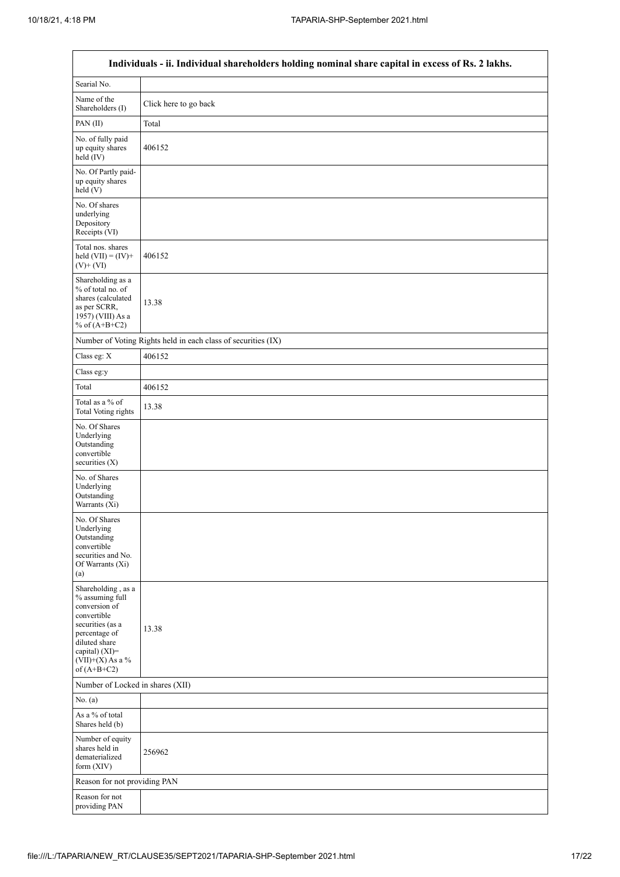$\mathsf{r}$ 

 $\overline{\phantom{a}}$ 

|                                                                                                                                                                                      | Individuals - ii. Individual shareholders holding nominal share capital in excess of Rs. 2 lakhs. |
|--------------------------------------------------------------------------------------------------------------------------------------------------------------------------------------|---------------------------------------------------------------------------------------------------|
| Searial No.                                                                                                                                                                          |                                                                                                   |
| Name of the<br>Shareholders (I)                                                                                                                                                      | Click here to go back                                                                             |
| PAN(II)                                                                                                                                                                              | Total                                                                                             |
| No. of fully paid<br>up equity shares<br>held (IV)                                                                                                                                   | 406152                                                                                            |
| No. Of Partly paid-<br>up equity shares<br>held(V)                                                                                                                                   |                                                                                                   |
| No. Of shares<br>underlying<br>Depository<br>Receipts (VI)                                                                                                                           |                                                                                                   |
| Total nos. shares<br>held $(VII) = (IV) +$<br>$(V)$ + $(VI)$                                                                                                                         | 406152                                                                                            |
| Shareholding as a<br>% of total no. of<br>shares (calculated<br>as per SCRR,<br>1957) (VIII) As a<br>% of $(A+B+C2)$                                                                 | 13.38                                                                                             |
|                                                                                                                                                                                      | Number of Voting Rights held in each class of securities (IX)                                     |
| Class eg: X                                                                                                                                                                          | 406152                                                                                            |
| Class eg:y                                                                                                                                                                           |                                                                                                   |
| Total                                                                                                                                                                                | 406152                                                                                            |
| Total as a % of<br>Total Voting rights                                                                                                                                               | 13.38                                                                                             |
| No. Of Shares<br>Underlying<br>Outstanding<br>convertible<br>securities $(X)$                                                                                                        |                                                                                                   |
| No. of Shares<br>Underlying<br>Outstanding<br>Warrants (Xi)                                                                                                                          |                                                                                                   |
| No. Of Shares<br>Underlying<br>Outstanding<br>convertible<br>securities and No.<br>Of Warrants (Xi)<br>(a)                                                                           |                                                                                                   |
| Shareholding, as a<br>% assuming full<br>conversion of<br>convertible<br>securities (as a<br>percentage of<br>diluted share<br>capital) (XI)=<br>$(VII)+(X)$ As a %<br>of $(A+B+C2)$ | 13.38                                                                                             |
| Number of Locked in shares (XII)                                                                                                                                                     |                                                                                                   |
| No. (a)                                                                                                                                                                              |                                                                                                   |
| As a % of total<br>Shares held (b)                                                                                                                                                   |                                                                                                   |
| Number of equity<br>shares held in<br>dematerialized<br>form (XIV)                                                                                                                   | 256962                                                                                            |
| Reason for not providing PAN                                                                                                                                                         |                                                                                                   |
| Reason for not<br>providing PAN                                                                                                                                                      |                                                                                                   |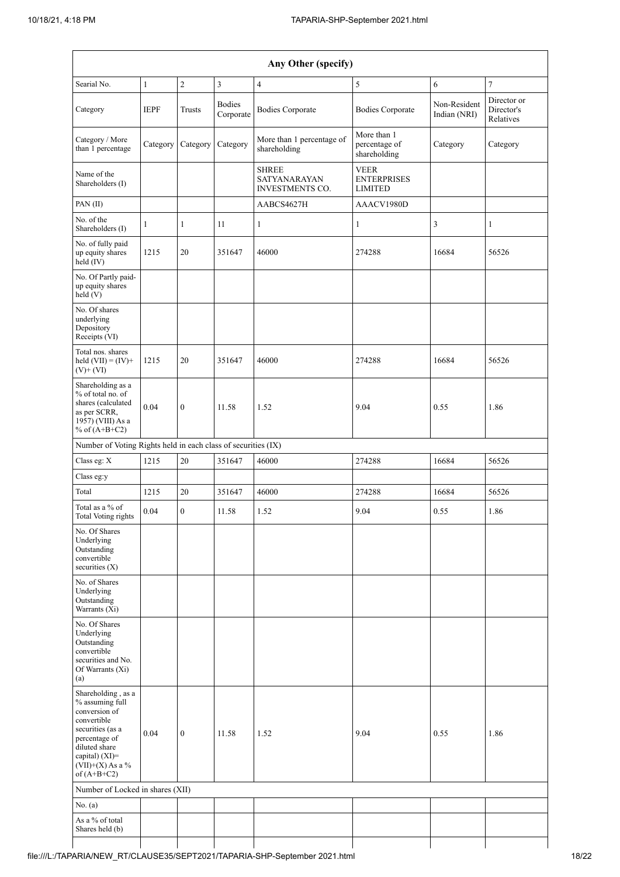| Any Other (specify)                                                                                                                                                                  |              |                  |                            |                                                        |                                                     |                              |                                        |  |  |
|--------------------------------------------------------------------------------------------------------------------------------------------------------------------------------------|--------------|------------------|----------------------------|--------------------------------------------------------|-----------------------------------------------------|------------------------------|----------------------------------------|--|--|
| Searial No.                                                                                                                                                                          | $\mathbf{1}$ | $\overline{c}$   | $\mathfrak{Z}$             | $\overline{4}$                                         | 5                                                   | 6                            | $\boldsymbol{7}$                       |  |  |
| Category                                                                                                                                                                             | <b>IEPF</b>  | Trusts           | <b>Bodies</b><br>Corporate | <b>Bodies Corporate</b>                                | <b>Bodies Corporate</b>                             | Non-Resident<br>Indian (NRI) | Director or<br>Director's<br>Relatives |  |  |
| Category / More<br>than 1 percentage                                                                                                                                                 | Category     | Category         | Category                   | More than 1 percentage of<br>shareholding              | More than 1<br>percentage of<br>shareholding        | Category                     | Category                               |  |  |
| Name of the<br>Shareholders (I)                                                                                                                                                      |              |                  |                            | <b>SHREE</b><br>SATYANARAYAN<br><b>INVESTMENTS CO.</b> | <b>VEER</b><br><b>ENTERPRISES</b><br><b>LIMITED</b> |                              |                                        |  |  |
| PAN(II)                                                                                                                                                                              |              |                  |                            | AABCS4627H                                             | AAACV1980D                                          |                              |                                        |  |  |
| No. of the<br>Shareholders (I)                                                                                                                                                       | 1            | $\mathbf{1}$     | 11                         | $\mathbf{1}$                                           | 1                                                   | 3                            | 1                                      |  |  |
| No. of fully paid<br>up equity shares<br>held $(IV)$                                                                                                                                 | 1215         | 20               | 351647                     | 46000                                                  | 274288                                              | 16684                        | 56526                                  |  |  |
| No. Of Partly paid-<br>up equity shares<br>held (V)                                                                                                                                  |              |                  |                            |                                                        |                                                     |                              |                                        |  |  |
| No. Of shares<br>underlying<br>Depository<br>Receipts (VI)                                                                                                                           |              |                  |                            |                                                        |                                                     |                              |                                        |  |  |
| Total nos. shares<br>held $(VII) = (IV) +$<br>$(V)$ + $(VI)$                                                                                                                         | 1215         | 20               | 351647                     | 46000                                                  | 274288                                              | 16684                        | 56526                                  |  |  |
| Shareholding as a<br>% of total no. of<br>shares (calculated<br>as per SCRR,<br>1957) (VIII) As a<br>% of $(A+B+C2)$                                                                 | 0.04         | $\boldsymbol{0}$ | 11.58                      | 1.52                                                   | 9.04                                                | 0.55                         | 1.86                                   |  |  |
| Number of Voting Rights held in each class of securities (IX)                                                                                                                        |              |                  |                            |                                                        |                                                     |                              |                                        |  |  |
| Class eg: X                                                                                                                                                                          | 1215         | 20               | 351647                     | 46000                                                  | 274288                                              | 16684                        | 56526                                  |  |  |
| Class eg:y                                                                                                                                                                           |              |                  |                            |                                                        |                                                     |                              |                                        |  |  |
| Total                                                                                                                                                                                | 1215         | 20               | 351647                     | 46000                                                  | 274288                                              | 16684                        | 56526                                  |  |  |
| Total as a $\%$ of<br>Total Voting rights                                                                                                                                            | 0.04         | $\boldsymbol{0}$ | 11.58                      | 1.52                                                   | 9.04                                                | 0.55                         | 1.86                                   |  |  |
| No. Of Shares<br>Underlying<br>Outstanding<br>convertible<br>securities $(X)$                                                                                                        |              |                  |                            |                                                        |                                                     |                              |                                        |  |  |
| No. of Shares<br>Underlying<br>Outstanding<br>Warrants (Xi)                                                                                                                          |              |                  |                            |                                                        |                                                     |                              |                                        |  |  |
| No. Of Shares<br>Underlying<br>Outstanding<br>convertible<br>securities and No.<br>Of Warrants (Xi)<br>(a)                                                                           |              |                  |                            |                                                        |                                                     |                              |                                        |  |  |
| Shareholding, as a<br>% assuming full<br>conversion of<br>convertible<br>securities (as a<br>percentage of<br>diluted share<br>capital) (XI)=<br>$(VII)+(X)$ As a %<br>of $(A+B+C2)$ | 0.04         | $\boldsymbol{0}$ | 11.58                      | 1.52                                                   | 9.04                                                | 0.55                         | 1.86                                   |  |  |
| Number of Locked in shares (XII)                                                                                                                                                     |              |                  |                            |                                                        |                                                     |                              |                                        |  |  |
| No. (a)                                                                                                                                                                              |              |                  |                            |                                                        |                                                     |                              |                                        |  |  |
| As a % of total<br>Shares held (b)                                                                                                                                                   |              |                  |                            |                                                        |                                                     |                              |                                        |  |  |

 $\mathsf{I}$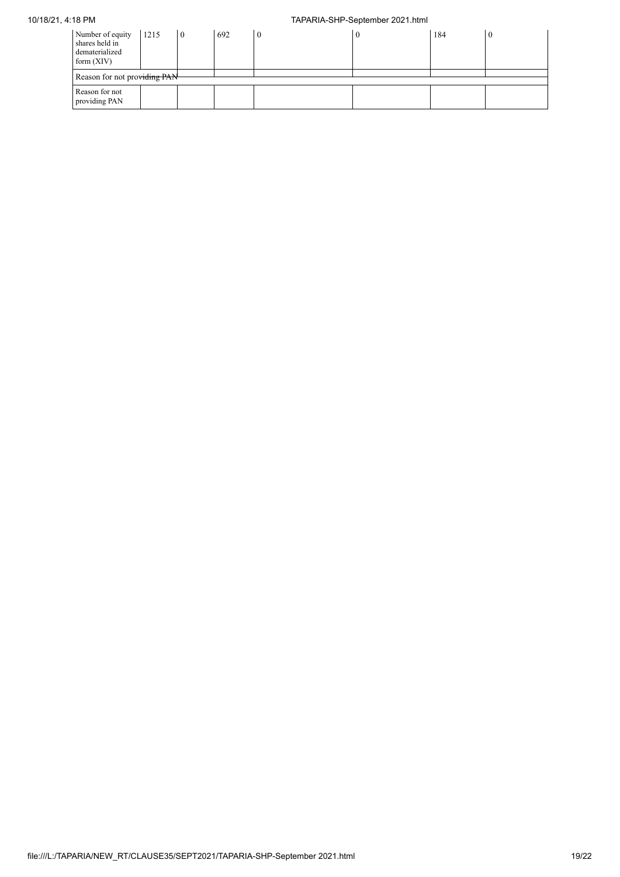# 10/18/21, 4:18 PM TAPARIA-SHP-September 2021.html

| Number of equity<br>shares held in<br>dematerialized<br>form $(XIV)$ | 1215                         | l 0 | 692 | $\mathbf{0}$ |  | 184 |  |  |
|----------------------------------------------------------------------|------------------------------|-----|-----|--------------|--|-----|--|--|
|                                                                      | Reason for not providing PAN |     |     |              |  |     |  |  |
| Reason for not<br>providing PAN                                      |                              |     |     |              |  |     |  |  |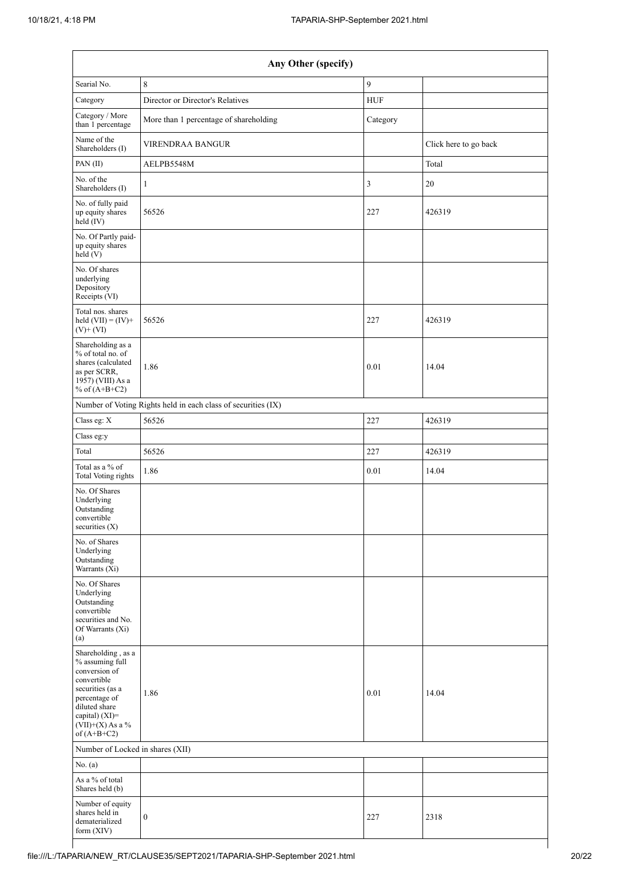| Any Other (specify)                                                                                                                                                                  |                                                               |            |                       |  |  |  |  |  |
|--------------------------------------------------------------------------------------------------------------------------------------------------------------------------------------|---------------------------------------------------------------|------------|-----------------------|--|--|--|--|--|
| Searial No.                                                                                                                                                                          | 8                                                             | 9          |                       |  |  |  |  |  |
| Category                                                                                                                                                                             | Director or Director's Relatives                              | <b>HUF</b> |                       |  |  |  |  |  |
| Category / More<br>than 1 percentage                                                                                                                                                 | More than 1 percentage of shareholding                        | Category   |                       |  |  |  |  |  |
| Name of the<br>Shareholders (I)                                                                                                                                                      | <b>VIRENDRAA BANGUR</b>                                       |            | Click here to go back |  |  |  |  |  |
| PAN(II)                                                                                                                                                                              | AELPB5548M                                                    |            | Total                 |  |  |  |  |  |
| No. of the<br>Shareholders (I)                                                                                                                                                       | 1                                                             | 3          | 20                    |  |  |  |  |  |
| No. of fully paid<br>up equity shares<br>held (IV)                                                                                                                                   | 56526                                                         | 227        | 426319                |  |  |  |  |  |
| No. Of Partly paid-<br>up equity shares<br>held (V)                                                                                                                                  |                                                               |            |                       |  |  |  |  |  |
| No. Of shares<br>underlying<br>Depository<br>Receipts (VI)                                                                                                                           |                                                               |            |                       |  |  |  |  |  |
| Total nos. shares<br>held $(VII) = (IV) +$<br>$(V)$ + $(VI)$                                                                                                                         | 56526                                                         | 227        | 426319                |  |  |  |  |  |
| Shareholding as a<br>% of total no. of<br>shares (calculated<br>as per SCRR,<br>1957) (VIII) As a<br>% of $(A+B+C2)$                                                                 | 1.86                                                          | 0.01       | 14.04                 |  |  |  |  |  |
|                                                                                                                                                                                      | Number of Voting Rights held in each class of securities (IX) |            |                       |  |  |  |  |  |
| Class eg: X                                                                                                                                                                          | 56526                                                         | 227        | 426319                |  |  |  |  |  |
| Class eg:y                                                                                                                                                                           |                                                               |            |                       |  |  |  |  |  |
| Total                                                                                                                                                                                | 56526                                                         | 227        | 426319                |  |  |  |  |  |
| Total as a % of<br><b>Total Voting rights</b>                                                                                                                                        | 1.86                                                          | 0.01       | 14.04                 |  |  |  |  |  |
| No. Of Shares<br>Underlying<br>Outstanding<br>convertible<br>securities (X)                                                                                                          |                                                               |            |                       |  |  |  |  |  |
| No. of Shares<br>Underlying<br>Outstanding<br>Warrants (Xi)                                                                                                                          |                                                               |            |                       |  |  |  |  |  |
| No. Of Shares<br>Underlying<br>Outstanding<br>convertible<br>securities and No.<br>Of Warrants (Xi)<br>(a)                                                                           |                                                               |            |                       |  |  |  |  |  |
| Shareholding, as a<br>% assuming full<br>conversion of<br>convertible<br>securities (as a<br>percentage of<br>diluted share<br>capital) (XI)=<br>$(VII)+(X)$ As a %<br>of $(A+B+C2)$ | 1.86                                                          | 0.01       | 14.04                 |  |  |  |  |  |
| Number of Locked in shares (XII)                                                                                                                                                     |                                                               |            |                       |  |  |  |  |  |
| No. (a)                                                                                                                                                                              |                                                               |            |                       |  |  |  |  |  |
| As a % of total<br>Shares held (b)                                                                                                                                                   |                                                               |            |                       |  |  |  |  |  |
| Number of equity<br>shares held in<br>dematerialized<br>form (XIV)                                                                                                                   | $\boldsymbol{0}$                                              | 227        | 2318                  |  |  |  |  |  |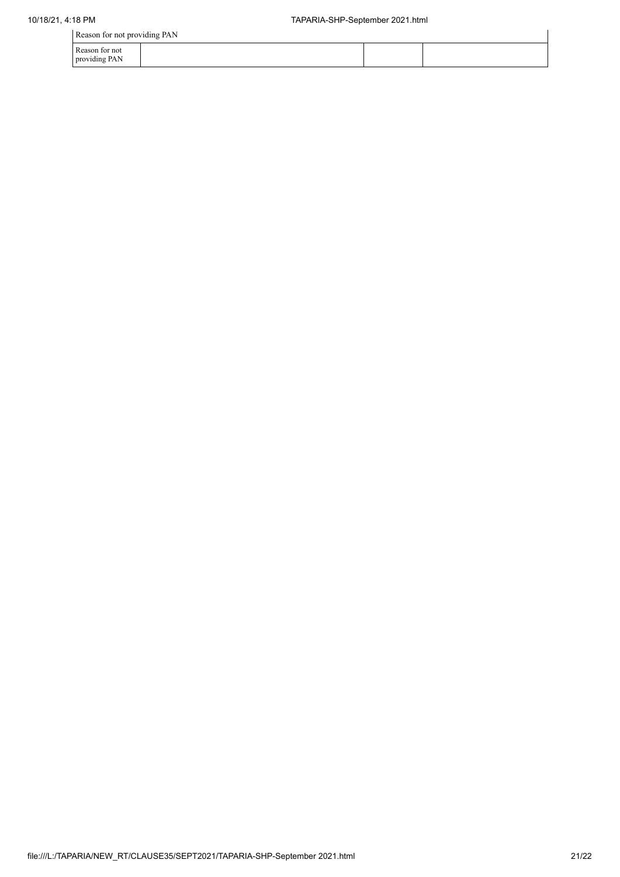|                                 | Reason for not providing PAN |  |  |  |
|---------------------------------|------------------------------|--|--|--|
| Reason for not<br>providing PAN |                              |  |  |  |